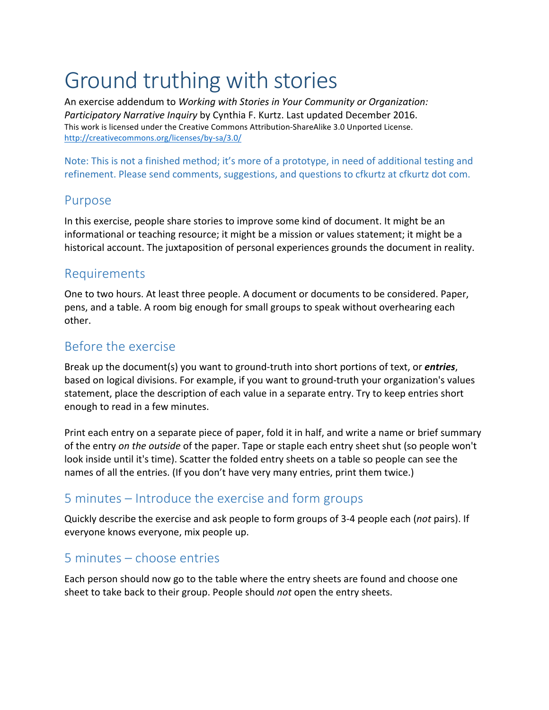# Ground truthing with stories

An exercise addendum to *Working with Stories in Your Community or Organization: Participatory Narrative Inquiry* by Cynthia F. Kurtz. Last updated December 2016. This work is licensed under the Creative Commons Attribution-ShareAlike 3.0 Unported License. http://creativecommons.org/licenses/by-sa/3.0/

Note: This is not a finished method; it's more of a prototype, in need of additional testing and refinement. Please send comments, suggestions, and questions to cfkurtz at cfkurtz dot com.

#### Purpose

In this exercise, people share stories to improve some kind of document. It might be an informational or teaching resource; it might be a mission or values statement; it might be a historical account. The juxtaposition of personal experiences grounds the document in reality.

#### Requirements

One to two hours. At least three people. A document or documents to be considered. Paper, pens, and a table. A room big enough for small groups to speak without overhearing each other.

## Before the exercise

Break up the document(s) you want to ground-truth into short portions of text, or *entries*, based on logical divisions. For example, if you want to ground-truth your organization's values statement, place the description of each value in a separate entry. Try to keep entries short enough to read in a few minutes.

Print each entry on a separate piece of paper, fold it in half, and write a name or brief summary of the entry *on the outside* of the paper. Tape or staple each entry sheet shut (so people won't look inside until it's time). Scatter the folded entry sheets on a table so people can see the names of all the entries. (If you don't have very many entries, print them twice.)

## 5 minutes – Introduce the exercise and form groups

Quickly describe the exercise and ask people to form groups of 3-4 people each (not pairs). If everyone knows everyone, mix people up.

## 5 minutes – choose entries

Each person should now go to the table where the entry sheets are found and choose one sheet to take back to their group. People should *not* open the entry sheets.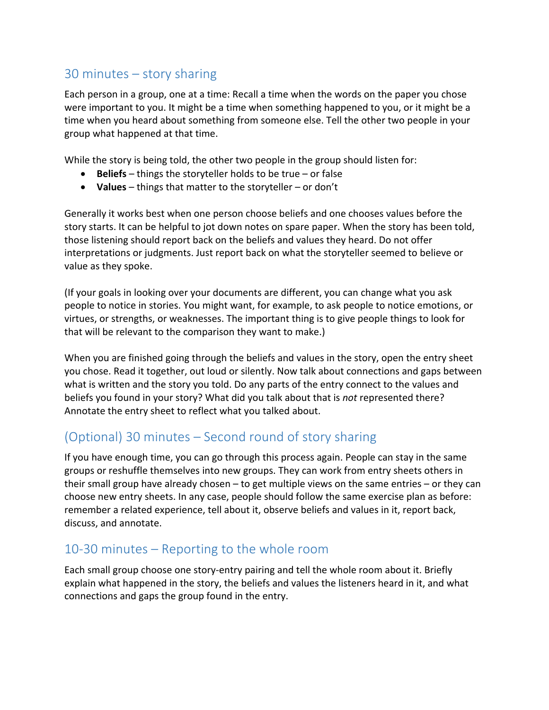## $30$  minutes  $-$  story sharing

Each person in a group, one at a time: Recall a time when the words on the paper you chose were important to you. It might be a time when something happened to you, or it might be a time when you heard about something from someone else. Tell the other two people in your group what happened at that time.

While the story is being told, the other two people in the group should listen for:

- $\bullet$  **Beliefs** things the storyteller holds to be true or false
- Values things that matter to the storyteller or don't

Generally it works best when one person choose beliefs and one chooses values before the story starts. It can be helpful to jot down notes on spare paper. When the story has been told, those listening should report back on the beliefs and values they heard. Do not offer interpretations or judgments. Just report back on what the storyteller seemed to believe or value as they spoke.

(If your goals in looking over your documents are different, you can change what you ask people to notice in stories. You might want, for example, to ask people to notice emotions, or virtues, or strengths, or weaknesses. The important thing is to give people things to look for that will be relevant to the comparison they want to make.)

When you are finished going through the beliefs and values in the story, open the entry sheet you chose. Read it together, out loud or silently. Now talk about connections and gaps between what is written and the story you told. Do any parts of the entry connect to the values and beliefs you found in your story? What did you talk about that is *not* represented there? Annotate the entry sheet to reflect what you talked about.

## (Optional) 30 minutes – Second round of story sharing

If you have enough time, you can go through this process again. People can stay in the same groups or reshuffle themselves into new groups. They can work from entry sheets others in their small group have already chosen  $-$  to get multiple views on the same entries  $-$  or they can choose new entry sheets. In any case, people should follow the same exercise plan as before: remember a related experience, tell about it, observe beliefs and values in it, report back, discuss, and annotate.

#### 10-30 minutes  $-$  Reporting to the whole room

Each small group choose one story-entry pairing and tell the whole room about it. Briefly explain what happened in the story, the beliefs and values the listeners heard in it, and what connections and gaps the group found in the entry.